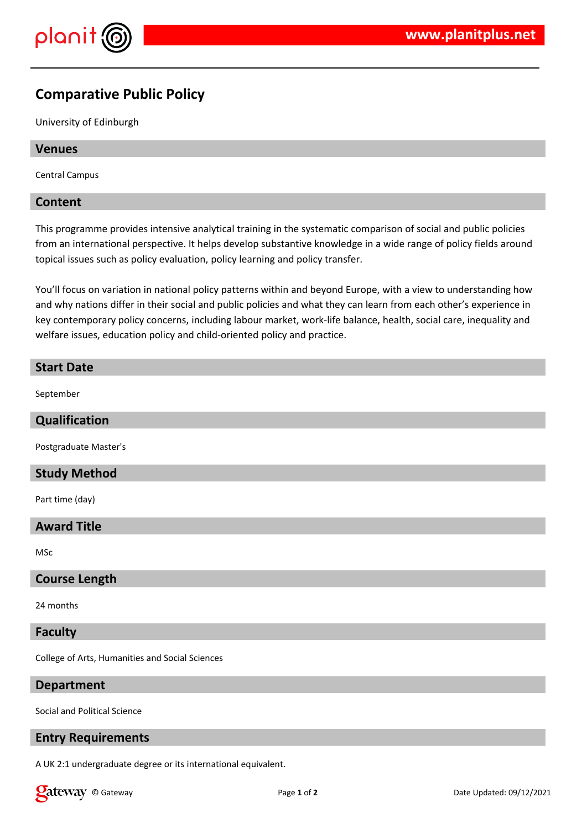

# **Comparative Public Policy**

University of Edinburgh

## **Venues**

Central Campus

## **Content**

This programme provides intensive analytical training in the systematic comparison of social and public policies from an international perspective. It helps develop substantive knowledge in a wide range of policy fields around topical issues such as policy evaluation, policy learning and policy transfer.

You'll focus on variation in national policy patterns within and beyond Europe, with a view to understanding how and why nations differ in their social and public policies and what they can learn from each other's experience in key contemporary policy concerns, including labour market, work-life balance, health, social care, inequality and welfare issues, education policy and child-oriented policy and practice.

## **Start Date**

September

## **Qualification**

Postgraduate Master's

## **Study Method**

Part time (day)

## **Award Title**

MSc

## **Course Length**

24 months

#### **Faculty**

College of Arts, Humanities and Social Sciences

#### **Department**

Social and Political Science

### **Entry Requirements**

A UK 2:1 undergraduate degree or its international equivalent.